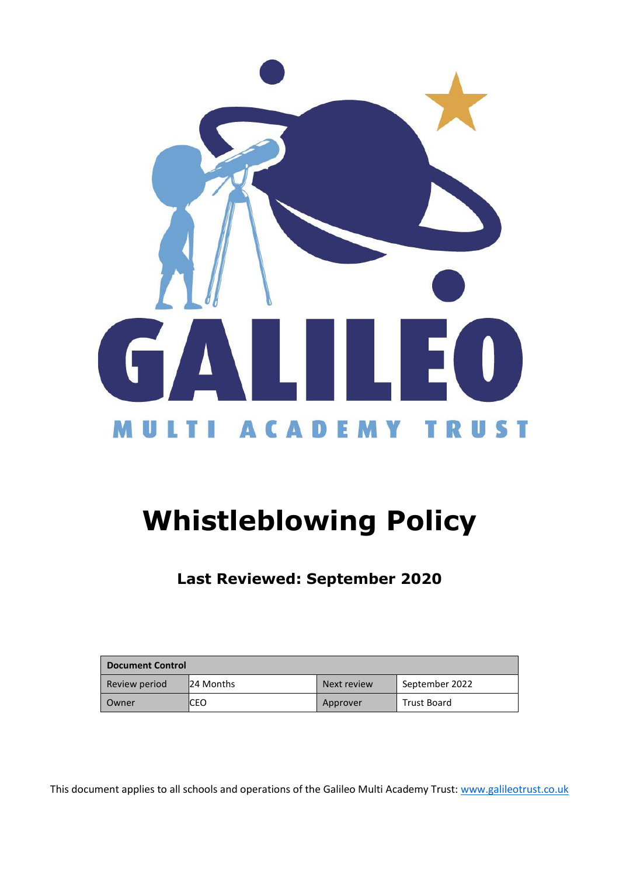

# **Whistleblowing Policy**

**Last Reviewed: September 2020**

| <b>Document Control</b> |           |             |                    |  |
|-------------------------|-----------|-------------|--------------------|--|
| Review period           | 24 Months | Next review | September 2022     |  |
| Owner                   | ICEO      | Approver    | <b>Trust Board</b> |  |

This document applies to all schools and operations of the Galileo Multi Academy Trust: [www.galileotrust.co.uk](http://www.galileotrust.co.uk/)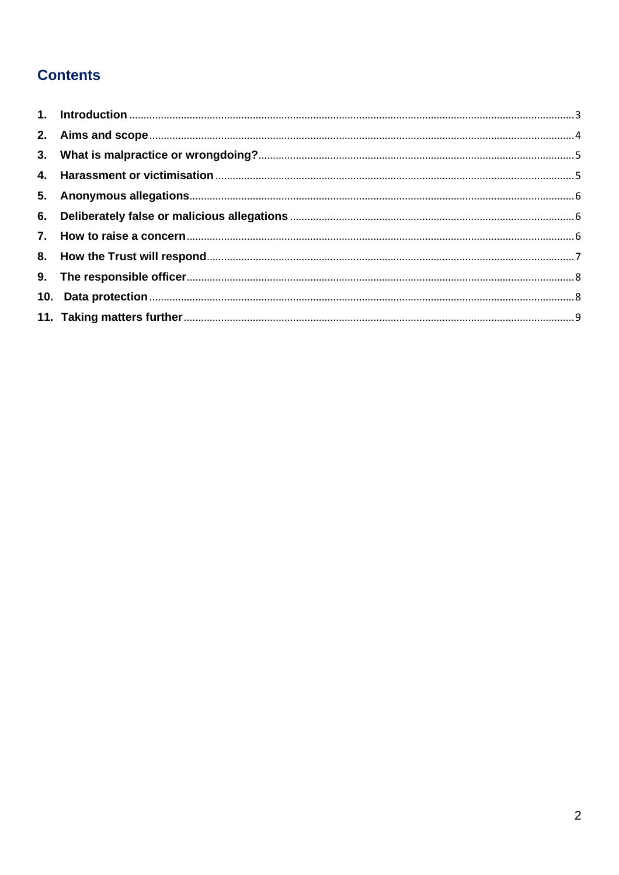## **Contents**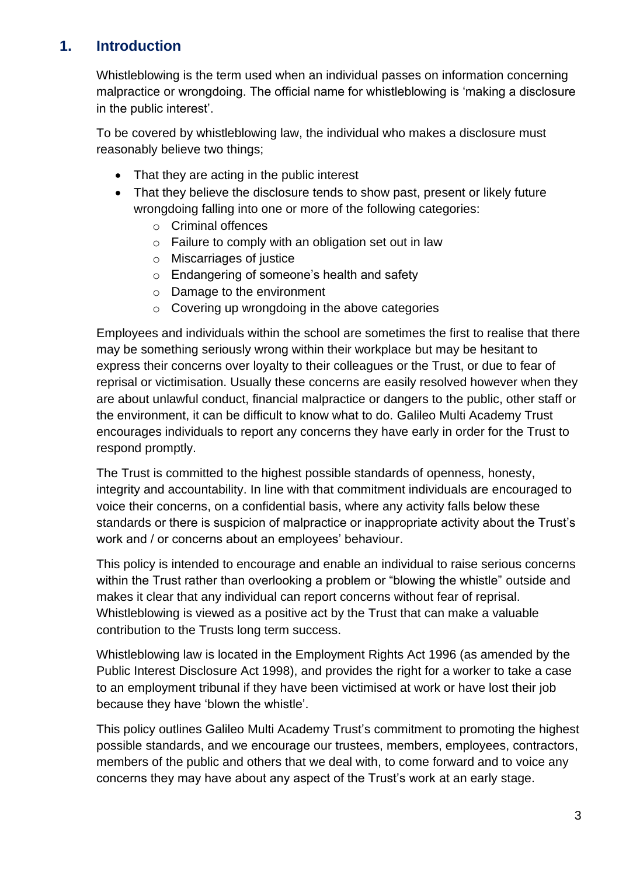## <span id="page-2-0"></span>**1. Introduction**

Whistleblowing is the term used when an individual passes on information concerning malpractice or wrongdoing. The official name for whistleblowing is 'making a disclosure in the public interest'.

To be covered by whistleblowing law, the individual who makes a disclosure must reasonably believe two things;

- That they are acting in the public interest
- That they believe the disclosure tends to show past, present or likely future wrongdoing falling into one or more of the following categories:
	- o Criminal offences
	- o Failure to comply with an obligation set out in law
	- o Miscarriages of justice
	- o Endangering of someone's health and safety
	- o Damage to the environment
	- $\circ$  Covering up wrongdoing in the above categories

Employees and individuals within the school are sometimes the first to realise that there may be something seriously wrong within their workplace but may be hesitant to express their concerns over loyalty to their colleagues or the Trust, or due to fear of reprisal or victimisation. Usually these concerns are easily resolved however when they are about unlawful conduct, financial malpractice or dangers to the public, other staff or the environment, it can be difficult to know what to do. Galileo Multi Academy Trust encourages individuals to report any concerns they have early in order for the Trust to respond promptly.

The Trust is committed to the highest possible standards of openness, honesty, integrity and accountability. In line with that commitment individuals are encouraged to voice their concerns, on a confidential basis, where any activity falls below these standards or there is suspicion of malpractice or inappropriate activity about the Trust's work and / or concerns about an employees' behaviour.

This policy is intended to encourage and enable an individual to raise serious concerns within the Trust rather than overlooking a problem or "blowing the whistle" outside and makes it clear that any individual can report concerns without fear of reprisal. Whistleblowing is viewed as a positive act by the Trust that can make a valuable contribution to the Trusts long term success.

Whistleblowing law is located in the Employment Rights Act 1996 (as amended by the Public Interest Disclosure Act 1998), and provides the right for a worker to take a case to an employment tribunal if they have been victimised at work or have lost their job because they have 'blown the whistle'.

This policy outlines Galileo Multi Academy Trust's commitment to promoting the highest possible standards, and we encourage our trustees, members, employees, contractors, members of the public and others that we deal with, to come forward and to voice any concerns they may have about any aspect of the Trust's work at an early stage.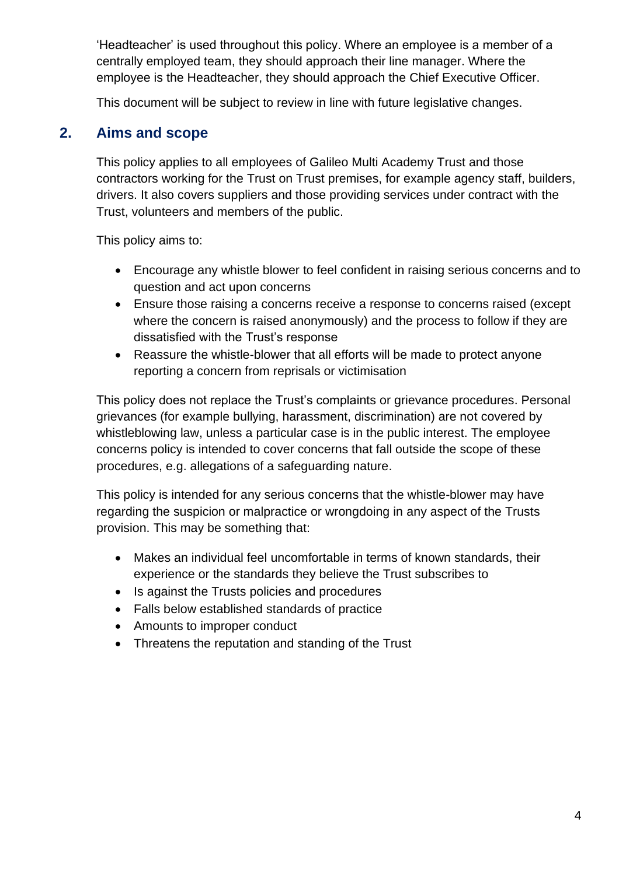'Headteacher' is used throughout this policy. Where an employee is a member of a centrally employed team, they should approach their line manager. Where the employee is the Headteacher, they should approach the Chief Executive Officer.

This document will be subject to review in line with future legislative changes.

#### <span id="page-3-0"></span>**2. Aims and scope**

This policy applies to all employees of Galileo Multi Academy Trust and those contractors working for the Trust on Trust premises, for example agency staff, builders, drivers. It also covers suppliers and those providing services under contract with the Trust, volunteers and members of the public.

This policy aims to:

- Encourage any whistle blower to feel confident in raising serious concerns and to question and act upon concerns
- Ensure those raising a concerns receive a response to concerns raised (except where the concern is raised anonymously) and the process to follow if they are dissatisfied with the Trust's response
- Reassure the whistle-blower that all efforts will be made to protect anyone reporting a concern from reprisals or victimisation

This policy does not replace the Trust's complaints or grievance procedures. Personal grievances (for example bullying, harassment, discrimination) are not covered by whistleblowing law, unless a particular case is in the public interest. The employee concerns policy is intended to cover concerns that fall outside the scope of these procedures, e.g. allegations of a safeguarding nature.

This policy is intended for any serious concerns that the whistle-blower may have regarding the suspicion or malpractice or wrongdoing in any aspect of the Trusts provision. This may be something that:

- Makes an individual feel uncomfortable in terms of known standards, their experience or the standards they believe the Trust subscribes to
- Is against the Trusts policies and procedures
- Falls below established standards of practice
- Amounts to improper conduct
- <span id="page-3-1"></span>• Threatens the reputation and standing of the Trust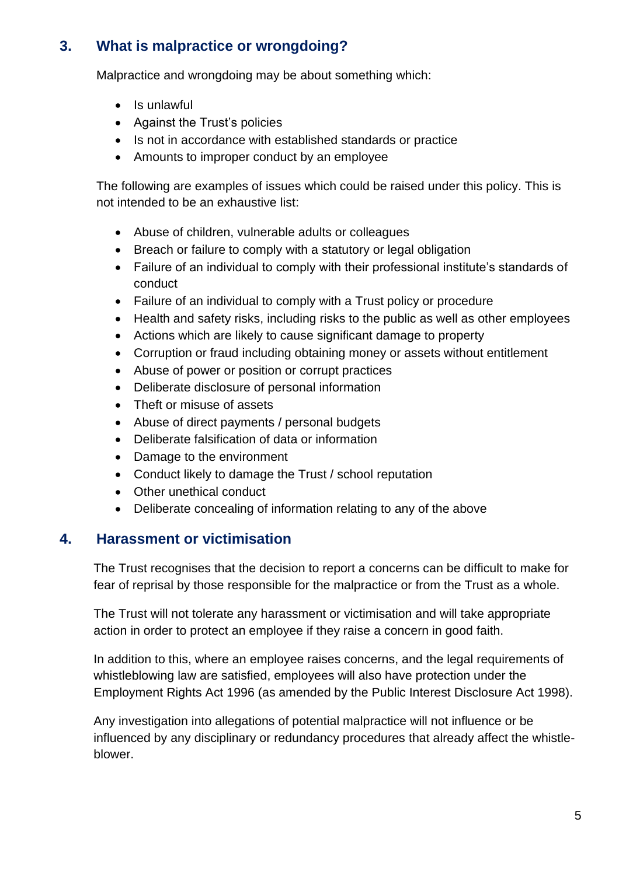## **3. What is malpractice or wrongdoing?**

Malpractice and wrongdoing may be about something which:

- Is unlawful
- Against the Trust's policies
- Is not in accordance with established standards or practice
- Amounts to improper conduct by an employee

The following are examples of issues which could be raised under this policy. This is not intended to be an exhaustive list:

- Abuse of children, vulnerable adults or colleagues
- Breach or failure to comply with a statutory or legal obligation
- Failure of an individual to comply with their professional institute's standards of conduct
- Failure of an individual to comply with a Trust policy or procedure
- Health and safety risks, including risks to the public as well as other employees
- Actions which are likely to cause significant damage to property
- Corruption or fraud including obtaining money or assets without entitlement
- Abuse of power or position or corrupt practices
- Deliberate disclosure of personal information
- Theft or misuse of assets
- Abuse of direct payments / personal budgets
- Deliberate falsification of data or information
- Damage to the environment
- Conduct likely to damage the Trust / school reputation
- Other unethical conduct
- Deliberate concealing of information relating to any of the above

#### <span id="page-4-0"></span>**4. Harassment or victimisation**

The Trust recognises that the decision to report a concerns can be difficult to make for fear of reprisal by those responsible for the malpractice or from the Trust as a whole.

The Trust will not tolerate any harassment or victimisation and will take appropriate action in order to protect an employee if they raise a concern in good faith.

In addition to this, where an employee raises concerns, and the legal requirements of whistleblowing law are satisfied, employees will also have protection under the Employment Rights Act 1996 (as amended by the Public Interest Disclosure Act 1998).

Any investigation into allegations of potential malpractice will not influence or be influenced by any disciplinary or redundancy procedures that already affect the whistleblower.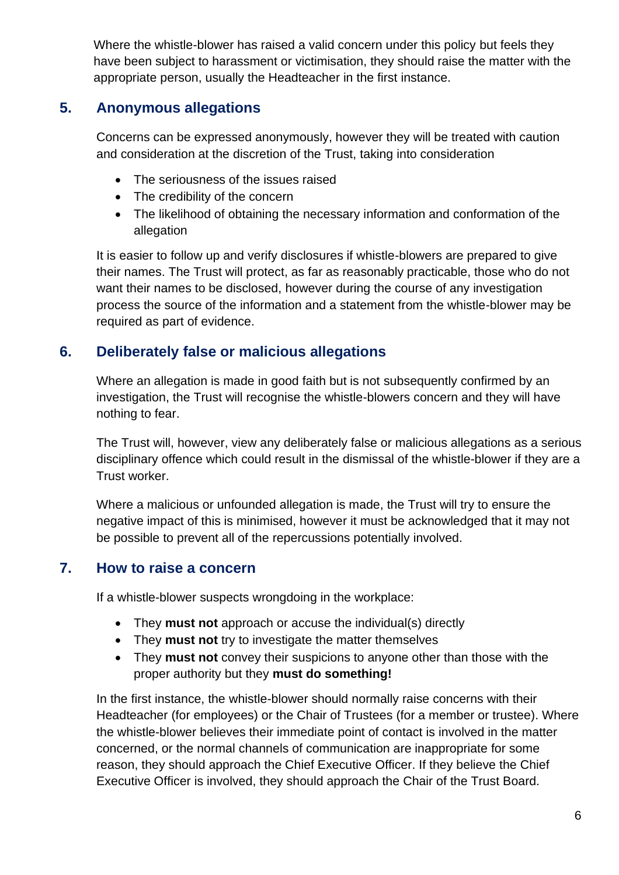Where the whistle-blower has raised a valid concern under this policy but feels they have been subject to harassment or victimisation, they should raise the matter with the appropriate person, usually the Headteacher in the first instance.

#### <span id="page-5-0"></span>**5. Anonymous allegations**

Concerns can be expressed anonymously, however they will be treated with caution and consideration at the discretion of the Trust, taking into consideration

- The seriousness of the issues raised
- The credibility of the concern
- The likelihood of obtaining the necessary information and conformation of the allegation

It is easier to follow up and verify disclosures if whistle-blowers are prepared to give their names. The Trust will protect, as far as reasonably practicable, those who do not want their names to be disclosed, however during the course of any investigation process the source of the information and a statement from the whistle-blower may be required as part of evidence.

#### <span id="page-5-1"></span>**6. Deliberately false or malicious allegations**

Where an allegation is made in good faith but is not subsequently confirmed by an investigation, the Trust will recognise the whistle-blowers concern and they will have nothing to fear.

The Trust will, however, view any deliberately false or malicious allegations as a serious disciplinary offence which could result in the dismissal of the whistle-blower if they are a Trust worker.

Where a malicious or unfounded allegation is made, the Trust will try to ensure the negative impact of this is minimised, however it must be acknowledged that it may not be possible to prevent all of the repercussions potentially involved.

#### <span id="page-5-2"></span>**7. How to raise a concern**

If a whistle-blower suspects wrongdoing in the workplace:

- They **must not** approach or accuse the individual(s) directly
- They **must not** try to investigate the matter themselves
- They **must not** convey their suspicions to anyone other than those with the proper authority but they **must do something!**

In the first instance, the whistle-blower should normally raise concerns with their Headteacher (for employees) or the Chair of Trustees (for a member or trustee). Where the whistle-blower believes their immediate point of contact is involved in the matter concerned, or the normal channels of communication are inappropriate for some reason, they should approach the Chief Executive Officer. If they believe the Chief Executive Officer is involved, they should approach the Chair of the Trust Board.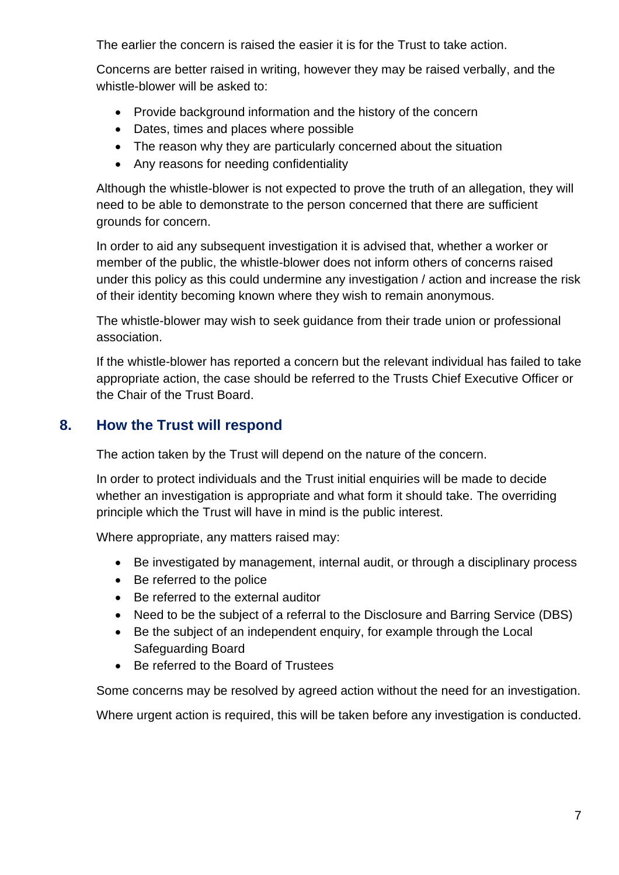The earlier the concern is raised the easier it is for the Trust to take action.

Concerns are better raised in writing, however they may be raised verbally, and the whistle-blower will be asked to:

- Provide background information and the history of the concern
- Dates, times and places where possible
- The reason why they are particularly concerned about the situation
- Any reasons for needing confidentiality

Although the whistle-blower is not expected to prove the truth of an allegation, they will need to be able to demonstrate to the person concerned that there are sufficient grounds for concern.

In order to aid any subsequent investigation it is advised that, whether a worker or member of the public, the whistle-blower does not inform others of concerns raised under this policy as this could undermine any investigation / action and increase the risk of their identity becoming known where they wish to remain anonymous.

The whistle-blower may wish to seek guidance from their trade union or professional association.

If the whistle-blower has reported a concern but the relevant individual has failed to take appropriate action, the case should be referred to the Trusts Chief Executive Officer or the Chair of the Trust Board.

#### <span id="page-6-0"></span>**8. How the Trust will respond**

The action taken by the Trust will depend on the nature of the concern.

In order to protect individuals and the Trust initial enquiries will be made to decide whether an investigation is appropriate and what form it should take. The overriding principle which the Trust will have in mind is the public interest.

Where appropriate, any matters raised may:

- Be investigated by management, internal audit, or through a disciplinary process
- Be referred to the police
- Be referred to the external auditor
- Need to be the subject of a referral to the Disclosure and Barring Service (DBS)
- Be the subject of an independent enquiry, for example through the Local Safeguarding Board
- Be referred to the Board of Trustees

Some concerns may be resolved by agreed action without the need for an investigation.

Where urgent action is required, this will be taken before any investigation is conducted.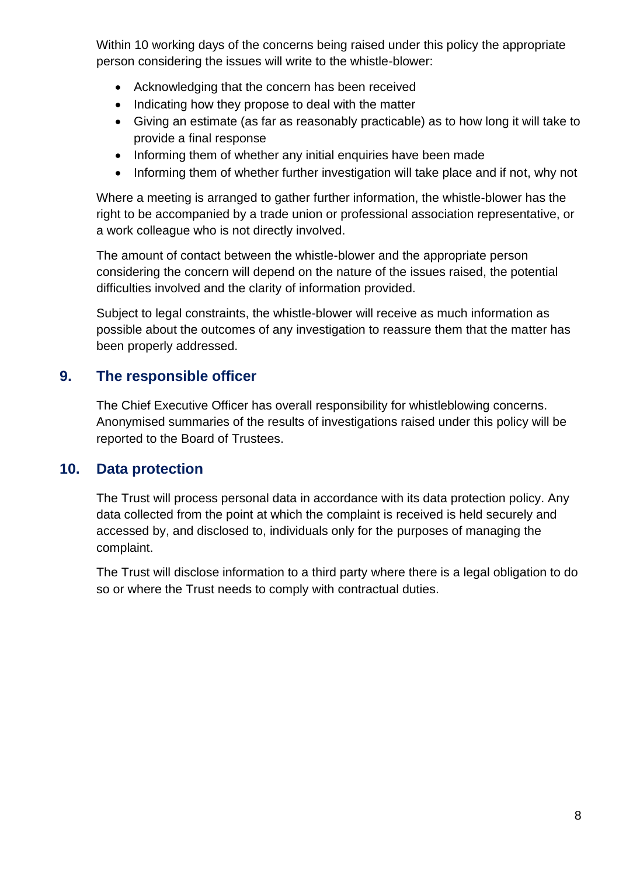Within 10 working days of the concerns being raised under this policy the appropriate person considering the issues will write to the whistle-blower:

- Acknowledging that the concern has been received
- Indicating how they propose to deal with the matter
- Giving an estimate (as far as reasonably practicable) as to how long it will take to provide a final response
- Informing them of whether any initial enquiries have been made
- Informing them of whether further investigation will take place and if not, why not

Where a meeting is arranged to gather further information, the whistle-blower has the right to be accompanied by a trade union or professional association representative, or a work colleague who is not directly involved.

The amount of contact between the whistle-blower and the appropriate person considering the concern will depend on the nature of the issues raised, the potential difficulties involved and the clarity of information provided.

Subject to legal constraints, the whistle-blower will receive as much information as possible about the outcomes of any investigation to reassure them that the matter has been properly addressed.

#### <span id="page-7-0"></span>**9. The responsible officer**

The Chief Executive Officer has overall responsibility for whistleblowing concerns. Anonymised summaries of the results of investigations raised under this policy will be reported to the Board of Trustees.

#### <span id="page-7-1"></span>**10. Data protection**

The Trust will process personal data in accordance with its data protection policy. Any data collected from the point at which the complaint is received is held securely and accessed by, and disclosed to, individuals only for the purposes of managing the complaint.

<span id="page-7-2"></span>The Trust will disclose information to a third party where there is a legal obligation to do so or where the Trust needs to comply with contractual duties.